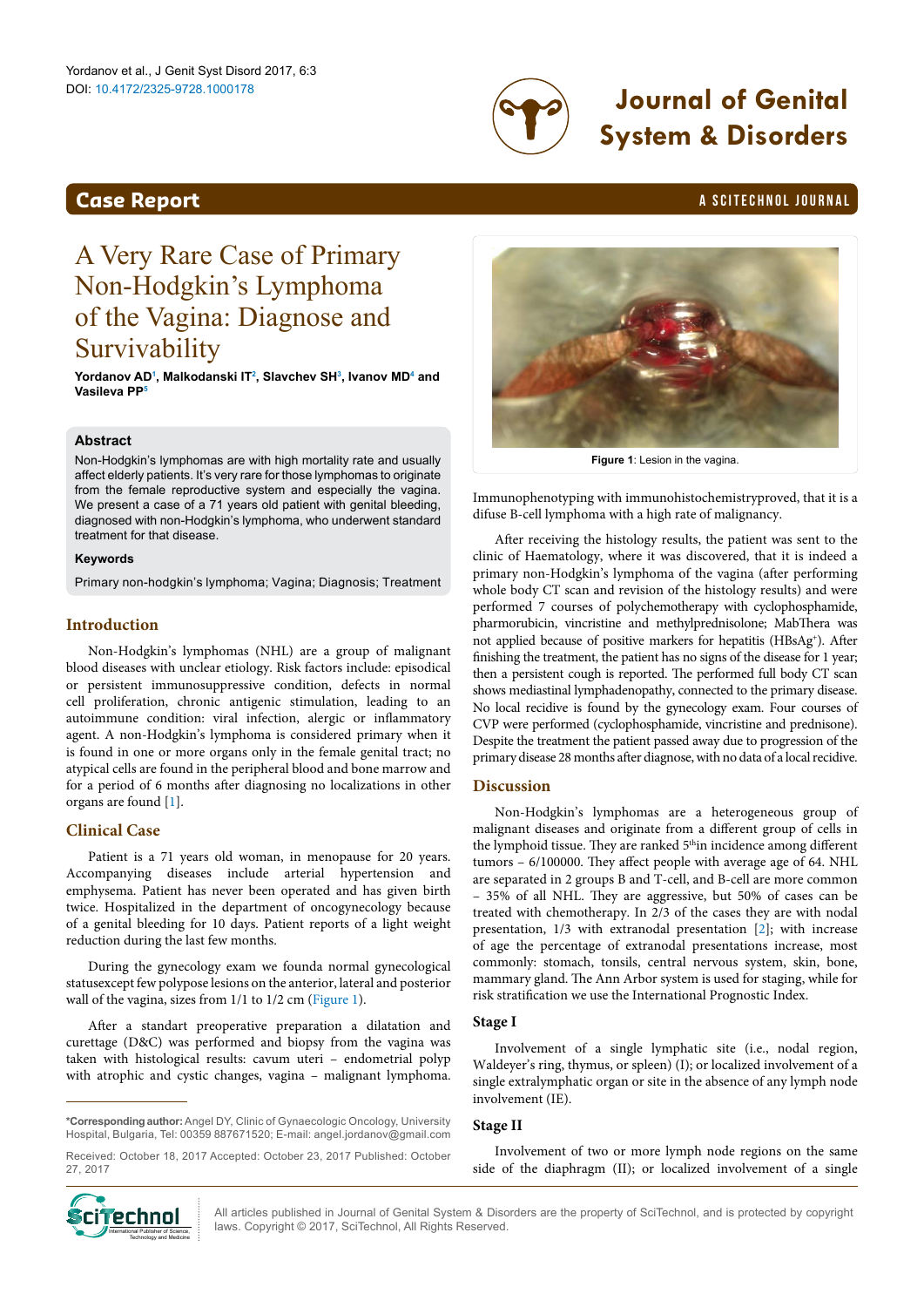

# DOI: 10.4172/2325-9728.1000178 **Journal of Genital System & Disorders**

## <span id="page-0-1"></span>**Case Report Case Report** and *Case Report* **a Scitement A SCITECHNOL JOURNAL**

## A Very Rare Case of Primary Non-Hodgkin's Lymphoma of the Vagina: Diagnose and **Survivability**

**Yordanov AD[1](#page-1-0) , Malkodanski I[T2](#page-1-1) , Slavchev S[H3](#page-1-2) , Ivanov M[D4](#page-1-3) and Vasileva PP[5](#page-1-4)**

#### **Abstract**

Non-Hodgkin's lymphomas are with high mortality rate and usually affect elderly patients. It's very rare for those lymphomas to originate from the female reproductive system and especially the vagina. We present a case of a 71 years old patient with genital bleeding, diagnosed with non-Hodgkin's lymphoma, who underwent standard treatment for that disease.

#### **Keywords**

Primary non-hodgkin's lymphoma; Vagina; Diagnosis; Treatment

## **Introduction**

Non-Hodgkin's lymphomas (NHL) are a group of malignant blood diseases with unclear etiology. Risk factors include: episodical or persistent immunosuppressive condition, defects in normal cell proliferation, chronic antigenic stimulation, leading to an autoimmune condition: viral infection, alergic or inflammatory agent. A non-Hodgkin's lymphoma is considered primary when it is found in one or more organs only in the female genital tract; no atypical cells are found in the peripheral blood and bone marrow and for a period of 6 months after diagnosing no localizations in other organs are found [[1](#page-1-5)].

## **Clinical Case**

Patient is a 71 years old woman, in menopause for 20 years. Accompanying diseases include arterial hypertension and emphysema. Patient has never been operated and has given birth twice. Hospitalized in the department of oncogynecology because of a genital bleeding for 10 days. Patient reports of a light weight reduction during the last few months.

During the gynecology exam we founda normal gynecological statusexcept few polypose lesions on the anterior, lateral and posterior wall of the vagina, sizes from 1/1 to 1/2 cm [\(Figure 1\)](#page-0-0).

After a standart preoperative preparation a dilatation and curettage (D&C) was performed and biopsy from the vagina was taken with histological results: cavum uteri – endometrial polyp with atrophic and cystic changes, vagina – malignant lymphoma.

**\*Corresponding author:** Angel DY, Clinic of Gynaecologic Oncology, University Hospital, Bulgaria, Tel: 00359 887671520; E-mail: angel.jordanov@gmail.com

Received: October 18, 2017 Accepted: October 23, 2017 Published: October 27, 2017



All articles published in Journal of Genital System & Disorders are the property of SciTechnol, and is protected by copyright **Cineman Butler Copyright Conserved** All articles published in Journal of Genital System & Disconnel Publisher of Science, International Publisher of Science, International Publisher of Science, International Publisher of

<span id="page-0-0"></span>

**Figure 1**: Lesion in the vagina.

Immunophenotyping with immunohistochemistryproved, that it is a difuse B-cell lymphoma with a high rate of malignancy.

After receiving the histology results, the patient was sent to the clinic of Haematology, where it was discovered, that it is indeed a primary non-Hodgkin's lymphoma of the vagina (after performing whole body CT scan and revision of the histology results) and were performed 7 courses of polychemotherapy with cyclophosphamide, pharmorubicin, vincristine and methylprednisolone; MabThera was not applied because of positive markers for hepatitis (HBsAg+ ). After finishing the treatment, the patient has no signs of the disease for 1 year; then a persistent cough is reported. The performed full body CT scan shows mediastinal lymphadenopathy, connected to the primary disease. No local recidive is found by the gynecology exam. Four courses of CVP were performed (cyclophosphamide, vincristine and prednisone). Despite the treatment the patient passed away due to progression of the primary disease 28 months after diagnose, with no data of a local recidive.

## **Discussion**

Non-Hodgkin's lymphomas are a heterogeneous group of malignant diseases and originate from a different group of cells in the lymphoid tissue. They are ranked 5<sup>th</sup>in incidence among different tumors – 6/100000. They affect people with average age of 64. NHL are separated in 2 groups B and T-cell, and B-cell are more common – 35% of all NHL. They are aggressive, but 50% of cases can be treated with chemotherapy. In 2/3 of the cases they are with nodal presentation, 1/3 with extranodal presentation [[2](#page-1-6)]; with increase of age the percentage of extranodal presentations increase, most commonly: stomach, tonsils, central nervous system, skin, bone, mammary gland. The Ann Arbor system is used for staging, while for risk stratification we use the International Prognostic Index.

#### **Stage I**

Involvement of a single lymphatic site (i.e., nodal region, Waldeyer's ring, thymus, or spleen) (I); or localized involvement of a single extralymphatic organ or site in the absence of any lymph node involvement (IE).

#### **Stage II**

Involvement of two or more lymph node regions on the same side of the diaphragm (II); or localized involvement of a single